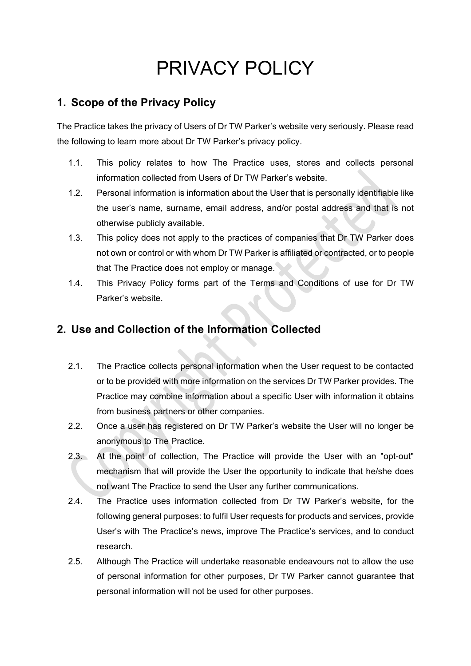# PRIVACY POLICY

## **1. Scope of the Privacy Policy**

The Practice takes the privacy of Users of Dr TW Parker's website very seriously. Please read the following to learn more about Dr TW Parker's privacy policy.

- 1.1. This policy relates to how The Practice uses, stores and collects personal information collected from Users of Dr TW Parker's website.
- 1.2. Personal information is information about the User that is personally identifiable like the user's name, surname, email address, and/or postal address and that is not otherwise publicly available.
- 1.3. This policy does not apply to the practices of companies that Dr TW Parker does not own or control or with whom Dr TW Parker is affiliated or contracted, or to people that The Practice does not employ or manage.
- 1.4. This Privacy Policy forms part of the Terms and Conditions of use for Dr TW Parker's website.

## **2. Use and Collection of the Information Collected**

- 2.1. The Practice collects personal information when the User request to be contacted or to be provided with more information on the services Dr TW Parker provides. The Practice may combine information about a specific User with information it obtains from business partners or other companies.
- 2.2. Once a user has registered on Dr TW Parker's website the User will no longer be anonymous to The Practice.
- 2.3. At the point of collection, The Practice will provide the User with an "opt-out" mechanism that will provide the User the opportunity to indicate that he/she does not want The Practice to send the User any further communications.
- 2.4. The Practice uses information collected from Dr TW Parker's website, for the following general purposes: to fulfil User requests for products and services, provide User's with The Practice's news, improve The Practice's services, and to conduct research.
- 2.5. Although The Practice will undertake reasonable endeavours not to allow the use of personal information for other purposes, Dr TW Parker cannot guarantee that personal information will not be used for other purposes.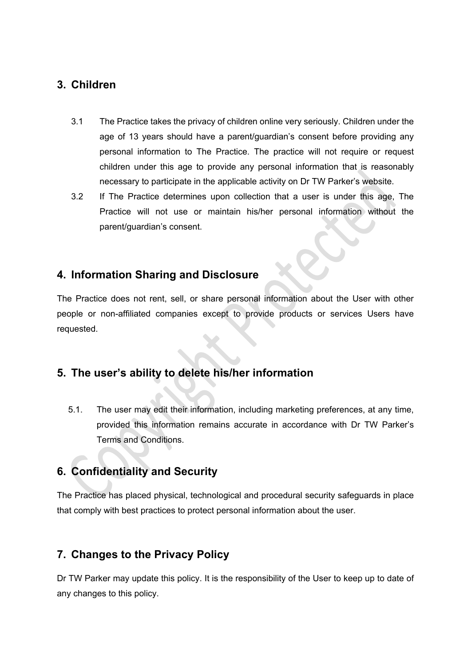#### **3. Children**

- 3.1 The Practice takes the privacy of children online very seriously. Children under the age of 13 years should have a parent/guardian's consent before providing any personal information to The Practice. The practice will not require or request children under this age to provide any personal information that is reasonably necessary to participate in the applicable activity on Dr TW Parker's website.
- 3.2 If The Practice determines upon collection that a user is under this age, The Practice will not use or maintain his/her personal information without the parent/guardian's consent.

## **4. Information Sharing and Disclosure**

The Practice does not rent, sell, or share personal information about the User with other people or non-affiliated companies except to provide products or services Users have requested.

# **5. The user's ability to delete his/her information**

5.1. The user may edit their information, including marketing preferences, at any time, provided this information remains accurate in accordance with Dr TW Parker's Terms and Conditions.

## **6. Confidentiality and Security**

The Practice has placed physical, technological and procedural security safeguards in place that comply with best practices to protect personal information about the user.

## **7. Changes to the Privacy Policy**

Dr TW Parker may update this policy. It is the responsibility of the User to keep up to date of any changes to this policy.